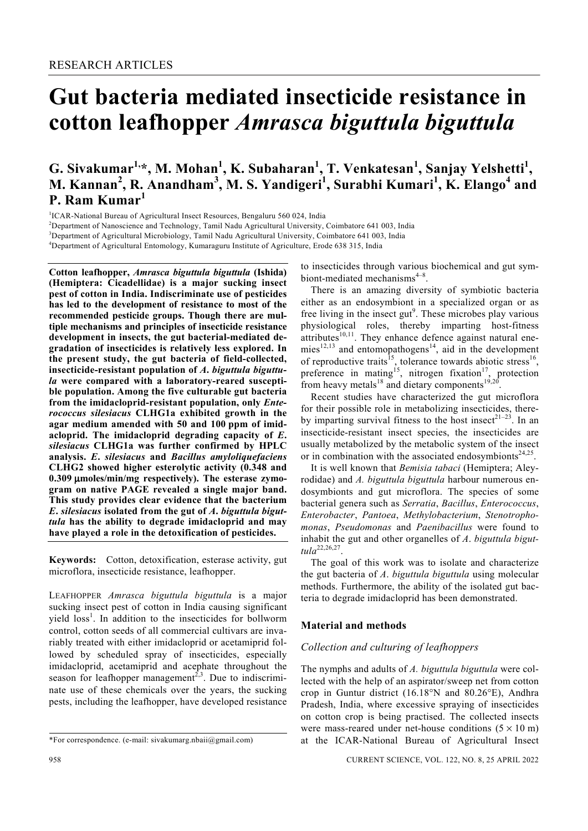# **Gut bacteria mediated insecticide resistance in cotton leafhopper** *Amrasca biguttula biguttula*

G. Sivakumar<sup>1,</sup>\*, M. Mohan<sup>1</sup>, K. Subaharan<sup>1</sup>, T. Venkatesan<sup>1</sup>, Sanjay Yelshetti<sup>1</sup>, **M. Kannan<sup>2</sup> , R. Anandham<sup>3</sup> , M. S. Yandigeri<sup>1</sup> , Surabhi Kumari<sup>1</sup> , K. Elango<sup>4</sup> and P. Ram Kumar<sup>1</sup>**

<sup>1</sup>ICAR-National Bureau of Agricultural Insect Resources, Bengaluru 560 024, India<br><sup>2</sup>Department of Nanosaianea and Technology, Tamil Nedy Agricultural University to

<sup>2</sup>Department of Nanoscience and Technology, Tamil Nadu Agricultural University, Coimbatore 641 003, India

<sup>3</sup>Department of Agricultural Microbiology, Tamil Nadu Agricultural University, Coimbatore 641 003, India

<sup>4</sup>Department of Agricultural Entomology, Kumaraguru Institute of Agriculture, Erode 638 315, India

**Cotton leafhopper,** *Amrasca biguttula biguttula* **(Ishida) (Hemiptera: Cicadellidae) is a major sucking insect pest of cotton in India. Indiscriminate use of pesticides has led to the development of resistance to most of the recommended pesticide groups. Though there are multiple mechanisms and principles of insecticide resistance development in insects, the gut bacterial-mediated degradation of insecticides is relatively less explored. In the present study, the gut bacteria of field-collected, insecticide-resistant population of** *A***.** *biguttula biguttula* **were compared with a laboratory-reared susceptible population. Among the five culturable gut bacteria from the imidacloprid-resistant population, only** *Enterococcus silesiacus* **CLHG1a exhibited growth in the agar medium amended with 50 and 100 ppm of imidacloprid. The imidacloprid degrading capacity of** *E***.**  *silesiacus* **CLHG1a was further confirmed by HPLC analysis.** *E***.** *silesiacus* **and** *Bacillus amyloliquefaciens*  **CLHG2 showed higher esterolytic activity (0.348 and 0.309** μ**moles/min/mg respectively). The esterase zymogram on native PAGE revealed a single major band. This study provides clear evidence that the bacterium**  *E***.** *silesiacus* **isolated from the gut of** *A***.** *biguttula biguttula* **has the ability to degrade imidacloprid and may have played a role in the detoxification of pesticides.** 

**Keywords:** Cotton, detoxification, esterase activity, gut microflora, insecticide resistance, leafhopper.

LEAFHOPPER *Amrasca biguttula biguttula* is a major sucking insect pest of cotton in India causing significant yield loss<sup>1</sup>. In addition to the insecticides for bollworm control, cotton seeds of all commercial cultivars are invariably treated with either imidacloprid or acetamiprid followed by scheduled spray of insecticides, especially imidacloprid, acetamiprid and acephate throughout the season for leafhopper management<sup>2,3</sup>. Due to indiscriminate use of these chemicals over the years, the sucking pests, including the leafhopper, have developed resistance

to insecticides through various biochemical and gut symbiont-mediated mechanisms $4-8$ .

 There is an amazing diversity of symbiotic bacteria either as an endosymbiont in a specialized organ or as free living in the insect gut<sup>9</sup>. These microbes play various physiological roles, thereby imparting host-fitness attributes $^{10,11}$ . They enhance defence against natural enemies<sup>12,13</sup> and entomopathogens<sup>14</sup>, aid in the development of reproductive traits<sup>15</sup>, tolerance towards abiotic stress<sup>16</sup>, preference in mating<sup>15</sup>, nitrogen fixation<sup>17</sup>, protection from heavy metals<sup>18</sup> and dietary components<sup>19,20</sup>.

 Recent studies have characterized the gut microflora for their possible role in metabolizing insecticides, thereby imparting survival fitness to the host insect<sup>21-23</sup>. In an insecticide-resistant insect species, the insecticides are usually metabolized by the metabolic system of the insect or in combination with the associated endosymbionts<sup>24,25</sup>.

 It is well known that *Bemisia tabaci* (Hemiptera; Aleyrodidae) and *A. biguttula biguttula* harbour numerous endosymbionts and gut microflora. The species of some bacterial genera such as *Serratia*, *Bacillus*, *Enterococcus*, *Enterobacter*, *Pantoea*, *Methylobacterium*, *Stenotrophomonas*, *Pseudomonas* and *Paenibacillus* were found to inhabit the gut and other organelles of *A*. *biguttula biguttula*22,26,27.

 The goal of this work was to isolate and characterize the gut bacteria of *A*. *biguttula biguttula* using molecular methods. Furthermore, the ability of the isolated gut bacteria to degrade imidacloprid has been demonstrated.

### **Material and methods**

# *Collection and culturing of leafhoppers*

The nymphs and adults of *A. biguttula biguttula* were collected with the help of an aspirator/sweep net from cotton crop in Guntur district (16.18°N and 80.26°E), Andhra Pradesh, India, where excessive spraying of insecticides on cotton crop is being practised. The collected insects were mass-reared under net-house conditions  $(5 \times 10 \text{ m})$ at the ICAR-National Bureau of Agricultural Insect

<sup>\*</sup>For correspondence. (e-mail: sivakumarg.nbaii@gmail.com)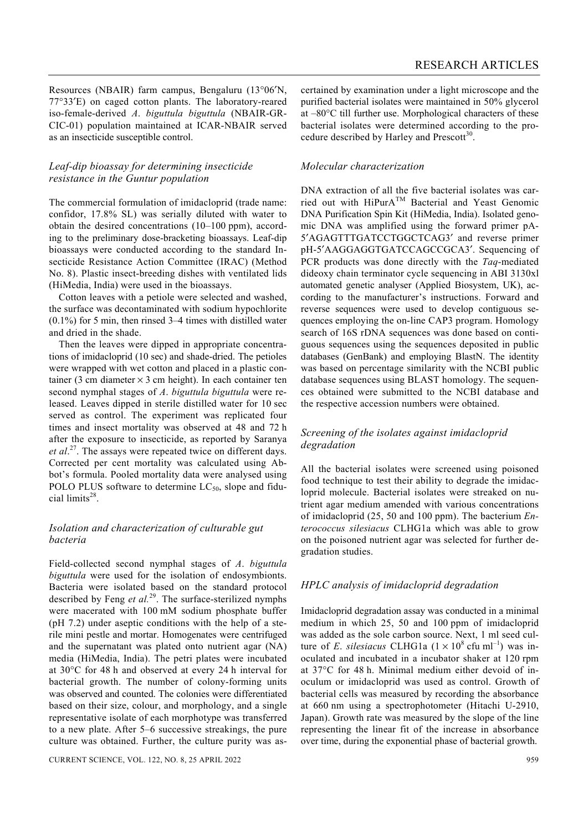Resources (NBAIR) farm campus, Bengaluru (13°06′N, 77°33′E) on caged cotton plants. The laboratory-reared iso-female-derived *A*. *biguttula biguttula* (NBAIR-GR-CIC-01) population maintained at ICAR-NBAIR served as an insecticide susceptible control.

## *Leaf-dip bioassay for determining insecticide resistance in the Guntur population*

The commercial formulation of imidacloprid (trade name: confidor, 17.8% SL) was serially diluted with water to obtain the desired concentrations (10–100 ppm), according to the preliminary dose-bracketing bioassays. Leaf-dip bioassays were conducted according to the standard Insecticide Resistance Action Committee (IRAC) (Method No. 8). Plastic insect-breeding dishes with ventilated lids (HiMedia, India) were used in the bioassays.

 Cotton leaves with a petiole were selected and washed, the surface was decontaminated with sodium hypochlorite (0.1%) for 5 min, then rinsed 3–4 times with distilled water and dried in the shade.

 Then the leaves were dipped in appropriate concentrations of imidacloprid (10 sec) and shade-dried. The petioles were wrapped with wet cotton and placed in a plastic container (3 cm diameter  $\times$  3 cm height). In each container ten second nymphal stages of *A*. *biguttula biguttula* were released. Leaves dipped in sterile distilled water for 10 sec served as control. The experiment was replicated four times and insect mortality was observed at 48 and 72 h after the exposure to insecticide, as reported by Saranya et al.<sup>27</sup>. The assays were repeated twice on different days. Corrected per cent mortality was calculated using Abbot's formula. Pooled mortality data were analysed using POLO PLUS software to determine  $LC_{50}$ , slope and fiducial limits<sup>28</sup>.

# *Isolation and characterization of culturable gut bacteria*

Field-collected second nymphal stages of *A*. *biguttula biguttula* were used for the isolation of endosymbionts. Bacteria were isolated based on the standard protocol described by Feng *et al.*29. The surface-sterilized nymphs were macerated with 100 mM sodium phosphate buffer (pH 7.2) under aseptic conditions with the help of a sterile mini pestle and mortar. Homogenates were centrifuged and the supernatant was plated onto nutrient agar (NA) media (HiMedia, India). The petri plates were incubated at 30°C for 48 h and observed at every 24 h interval for bacterial growth. The number of colony-forming units was observed and counted. The colonies were differentiated based on their size, colour, and morphology, and a single representative isolate of each morphotype was transferred to a new plate. After 5–6 successive streakings, the pure culture was obtained. Further, the culture purity was ascertained by examination under a light microscope and the purified bacterial isolates were maintained in 50% glycerol at –80°C till further use. Morphological characters of these bacterial isolates were determined according to the procedure described by Harley and Prescott<sup>30</sup>.

## *Molecular characterization*

DNA extraction of all the five bacterial isolates was carried out with  $HIPurA<sup>TM</sup>$  Bacterial and Yeast Genomic DNA Purification Spin Kit (HiMedia, India). Isolated genomic DNA was amplified using the forward primer pA-5′AGAGTTTGATCCTGGCTCAG3′ and reverse primer pH-5′AAGGAGGTGATCCAGCCGCA3′. Sequencing of PCR products was done directly with the *Taq*-mediated dideoxy chain terminator cycle sequencing in ABI 3130xl automated genetic analyser (Applied Biosystem, UK), according to the manufacturer's instructions. Forward and reverse sequences were used to develop contiguous sequences employing the on-line CAP3 program. Homology search of 16S rDNA sequences was done based on contiguous sequences using the sequences deposited in public databases (GenBank) and employing BlastN. The identity was based on percentage similarity with the NCBI public database sequences using BLAST homology. The sequences obtained were submitted to the NCBI database and the respective accession numbers were obtained.

### *Screening of the isolates against imidacloprid degradation*

All the bacterial isolates were screened using poisoned food technique to test their ability to degrade the imidacloprid molecule. Bacterial isolates were streaked on nutrient agar medium amended with various concentrations of imidacloprid (25, 50 and 100 ppm). The bacterium *Enterococcus silesiacus* CLHG1a which was able to grow on the poisoned nutrient agar was selected for further degradation studies.

### *HPLC analysis of imidacloprid degradation*

Imidacloprid degradation assay was conducted in a minimal medium in which 25, 50 and 100 ppm of imidacloprid was added as the sole carbon source. Next, 1 ml seed culture of *E*. *silesiacus* CLHG1a  $(1 \times 10^8 \text{ c} \text{fu} \text{ ml}^{-1})$  was inoculated and incubated in a incubator shaker at 120 rpm at 37°C for 48 h. Minimal medium either devoid of inoculum or imidacloprid was used as control. Growth of bacterial cells was measured by recording the absorbance at 660 nm using a spectrophotometer (Hitachi U-2910, Japan). Growth rate was measured by the slope of the line representing the linear fit of the increase in absorbance over time, during the exponential phase of bacterial growth.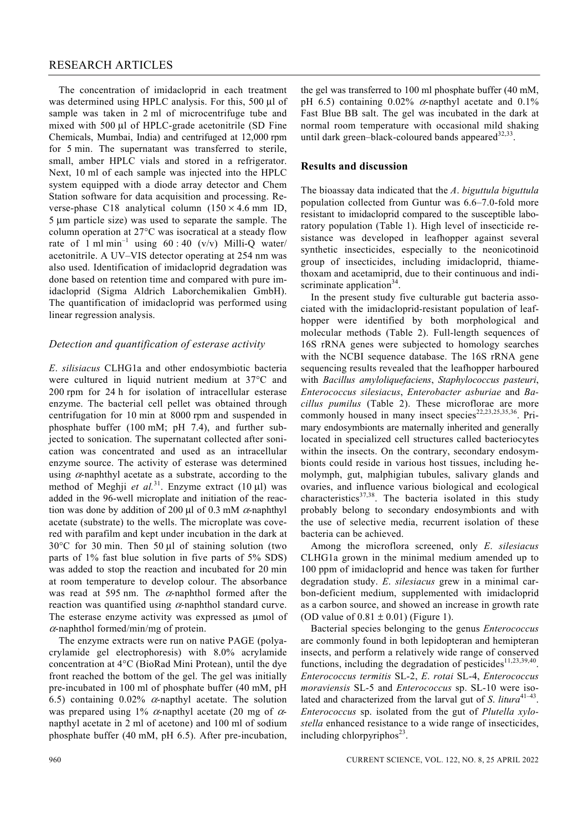## RESEARCH ARTICLES

 The concentration of imidacloprid in each treatment was determined using HPLC analysis. For this, 500 μl of sample was taken in 2 ml of microcentrifuge tube and mixed with 500 μl of HPLC-grade acetonitrile (SD Fine Chemicals, Mumbai, India) and centrifuged at 12,000 rpm for 5 min. The supernatant was transferred to sterile, small, amber HPLC vials and stored in a refrigerator. Next, 10 ml of each sample was injected into the HPLC system equipped with a diode array detector and Chem Station software for data acquisition and processing. Reverse-phase C18 analytical column  $(150 \times 4.6 \text{ mm} \text{ ID},$ 5 μm particle size) was used to separate the sample. The column operation at 27°C was isocratical at a steady flow rate of 1 ml min<sup>-1</sup> using 60 : 40 (v/v) Milli-Q water/ acetonitrile. A UV–VIS detector operating at 254 nm was also used. Identification of imidacloprid degradation was done based on retention time and compared with pure imidacloprid (Sigma Aldrich Laborchemikalien GmbH). The quantification of imidacloprid was performed using linear regression analysis.

#### *Detection and quantification of esterase activity*

*E*. *silisiacus* CLHG1a and other endosymbiotic bacteria were cultured in liquid nutrient medium at 37°C and 200 rpm for 24 h for isolation of intracellular esterase enzyme. The bacterial cell pellet was obtained through centrifugation for 10 min at 8000 rpm and suspended in phosphate buffer (100 mM; pH 7.4), and further subjected to sonication. The supernatant collected after sonication was concentrated and used as an intracellular enzyme source. The activity of esterase was determined using  $\alpha$ -naphthyl acetate as a substrate, according to the method of Meghji *et al.*31. Enzyme extract (10 μl) was added in the 96-well microplate and initiation of the reaction was done by addition of 200 μl of 0.3 mM  $\alpha$ -naphthyl acetate (substrate) to the wells. The microplate was covered with parafilm and kept under incubation in the dark at 30°C for 30 min. Then 50 μl of staining solution (two parts of 1% fast blue solution in five parts of 5% SDS) was added to stop the reaction and incubated for 20 min at room temperature to develop colour. The absorbance was read at 595 nm. The  $\alpha$ -naphthol formed after the reaction was quantified using  $\alpha$ -naphthol standard curve. The esterase enzyme activity was expressed as μmol of  $\alpha$ -naphthol formed/min/mg of protein.

 The enzyme extracts were run on native PAGE (polyacrylamide gel electrophoresis) with 8.0% acrylamide concentration at 4°C (BioRad Mini Protean), until the dye front reached the bottom of the gel. The gel was initially pre-incubated in 100 ml of phosphate buffer (40 mM, pH 6.5) containing  $0.02\%$   $\alpha$ -napthyl acetate. The solution was prepared using 1%  $\alpha$ -napthyl acetate (20 mg of  $\alpha$ napthyl acetate in 2 ml of acetone) and 100 ml of sodium phosphate buffer (40 mM, pH 6.5). After pre-incubation, the gel was transferred to 100 ml phosphate buffer (40 mM, pH 6.5) containing 0.02%  $\alpha$ -napthyl acetate and 0.1% Fast Blue BB salt. The gel was incubated in the dark at normal room temperature with occasional mild shaking until dark green–black-coloured bands appeared  $32,33$ .

#### **Results and discussion**

The bioassay data indicated that the *A*. *biguttula biguttula* population collected from Guntur was 6.6–7.0-fold more resistant to imidacloprid compared to the susceptible laboratory population (Table 1). High level of insecticide resistance was developed in leafhopper against several synthetic insecticides, especially to the neonicotinoid group of insecticides, including imidacloprid, thiamethoxam and acetamiprid, due to their continuous and indiscriminate application $34$ .

 In the present study five culturable gut bacteria associated with the imidacloprid-resistant population of leafhopper were identified by both morphological and molecular methods (Table 2). Full-length sequences of 16S rRNA genes were subjected to homology searches with the NCBI sequence database. The 16S rRNA gene sequencing results revealed that the leafhopper harboured with *Bacillus amyloliquefaciens*, *Staphylococcus pasteuri*, *Enterococcus silesiacus*, *Enterobacter asburiae* and *Bacillus pumilus* (Table 2). These microflorae are more commonly housed in many insect species<sup>22,23,25,35,36</sup>. Primary endosymbionts are maternally inherited and generally located in specialized cell structures called bacteriocytes within the insects. On the contrary, secondary endosymbionts could reside in various host tissues, including hemolymph, gut, malphigian tubules, salivary glands and ovaries, and influence various biological and ecological characteristics<sup>37,38</sup>. The bacteria isolated in this study probably belong to secondary endosymbionts and with the use of selective media, recurrent isolation of these bacteria can be achieved.

 Among the microflora screened, only *E*. *silesiacus* CLHG1a grown in the minimal medium amended up to 100 ppm of imidacloprid and hence was taken for further degradation study. *E*. *silesiacus* grew in a minimal carbon-deficient medium, supplemented with imidacloprid as a carbon source, and showed an increase in growth rate (OD value of  $0.81 \pm 0.01$ ) (Figure 1).

 Bacterial species belonging to the genus *Enterococcus* are commonly found in both lepidopteran and hemipteran insects, and perform a relatively wide range of conserved functions, including the degradation of pesticides<sup>11,23,39,40</sup>. *Enterococcus termitis* SL-2, *E*. *rotai* SL-4, *Enterococcus moraviensis* SL-5 and *Enterococcus* sp. SL-10 were isolated and characterized from the larval gut of *S. litura*<sup>41–43</sup>. *Enterococcus* sp. isolated from the gut of *Plutella xylostella* enhanced resistance to a wide range of insecticides, including chlorpyriphos $^{23}$ .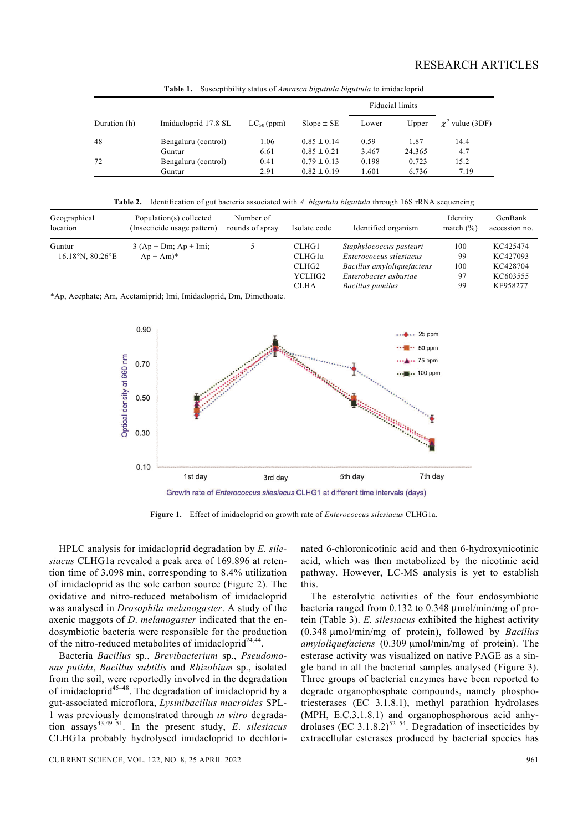| Susceptibility status of <i>Amrasca biguttula biguttula</i> to imidacloprid<br>Table 1. |                      |                 |                 |                 |        |                      |  |
|-----------------------------------------------------------------------------------------|----------------------|-----------------|-----------------|-----------------|--------|----------------------|--|
|                                                                                         |                      |                 |                 | Fiducial limits |        |                      |  |
| Duration (h)                                                                            | Imidacloprid 17.8 SL | $LC_{50}$ (ppm) | $Slope \pm SE$  | Lower           | Upper  | $\chi^2$ value (3DF) |  |
| 48                                                                                      | Bengaluru (control)  | 1.06            | $0.85 \pm 0.14$ | 0.59            | 1.87   | 14.4                 |  |
|                                                                                         | Guntur               | 6.61            | $0.85 \pm 0.21$ | 3.467           | 24.365 | 4.7                  |  |
| 72                                                                                      | Bengaluru (control)  | 0.41            | $0.79 \pm 0.13$ | 0.198           | 0.723  | 15.2                 |  |
|                                                                                         | Guntur               | 2.91            | $0.82 \pm 0.19$ | 1.601           | 6.736  | 7.19                 |  |

**Table 2.** Identification of gut bacteria associated with *A. biguttula biguttula* through 16S rRNA sequencing

| Geographical<br>location                       | Population(s) collected<br>(Insecticide usage pattern) | Number of<br>rounds of spray | Isolate code    | Identified organism                                | Identity<br>match $(\% )$ | GenBank<br>accession no. |
|------------------------------------------------|--------------------------------------------------------|------------------------------|-----------------|----------------------------------------------------|---------------------------|--------------------------|
| Guntur<br>$16.18^{\circ}$ N, $80.26^{\circ}$ E | $3 (Ap + Dm; Ap + Imi;$<br>$Ap + Am$ <sup>*</sup>      |                              | CLHG1<br>CLHG1a | Staphylococcus pasteuri<br>Enterococcus silesiacus | 100<br>99                 | KC425474<br>KC427093     |
|                                                |                                                        |                              | CLHG2           | Bacillus amyloliquefaciens                         | 100                       | KC428704                 |
|                                                |                                                        |                              | YCLHG2          | Enterobacter asburiae                              | 97                        | KC603555                 |
|                                                |                                                        |                              | <b>CLHA</b>     | Bacillus pumilus                                   | 99                        | KF958277                 |

\*Ap, Acephate; Am, Acetamiprid; Imi, Imidacloprid, Dm, Dimethoate.



**Figure 1.** Effect of imidacloprid on growth rate of *Enterococcus silesiacus* CLHG1a.

 HPLC analysis for imidacloprid degradation by *E*. *silesiacus* CLHG1a revealed a peak area of 169.896 at retention time of 3.098 min, corresponding to 8.4% utilization of imidacloprid as the sole carbon source (Figure 2). The oxidative and nitro-reduced metabolism of imidacloprid was analysed in *Drosophila melanogaster*. A study of the axenic maggots of *D*. *melanogaster* indicated that the endosymbiotic bacteria were responsible for the production of the nitro-reduced metabolites of imidacloprid<sup>24,44</sup>.

 Bacteria *Bacillus* sp., *Brevibacterium* sp., *Pseudomonas putida*, *Bacillus subtilis* and *Rhizobium* sp., isolated from the soil, were reportedly involved in the degradation of imidacloprid<sup>45–48</sup>. The degradation of imidacloprid by a gut-associated microflora, *Lysinibacillus macroides* SPL-1 was previously demonstrated through *in vitro* degradation assays43,49–51. In the present study, *E*. *silesiacus* CLHG1a probably hydrolysed imidacloprid to dechlorinated 6-chloronicotinic acid and then 6-hydroxynicotinic acid, which was then metabolized by the nicotinic acid pathway. However, LC-MS analysis is yet to establish this.

 The esterolytic activities of the four endosymbiotic bacteria ranged from 0.132 to 0.348 μmol/min/mg of protein (Table 3). *E. silesiacus* exhibited the highest activity (0.348 μmol/min/mg of protein), followed by *Bacillus amyloliquefaciens* (0.309 μmol/min/mg of protein). The esterase activity was visualized on native PAGE as a single band in all the bacterial samples analysed (Figure 3). Three groups of bacterial enzymes have been reported to degrade organophosphate compounds, namely phosphotriesterases (EC 3.1.8.1), methyl parathion hydrolases (MPH, E.C.3.1.8.1) and organophosphorous acid anhydrolases (EC 3.1.8.2)<sup>52–54</sup>. Degradation of insecticides by extracellular esterases produced by bacterial species has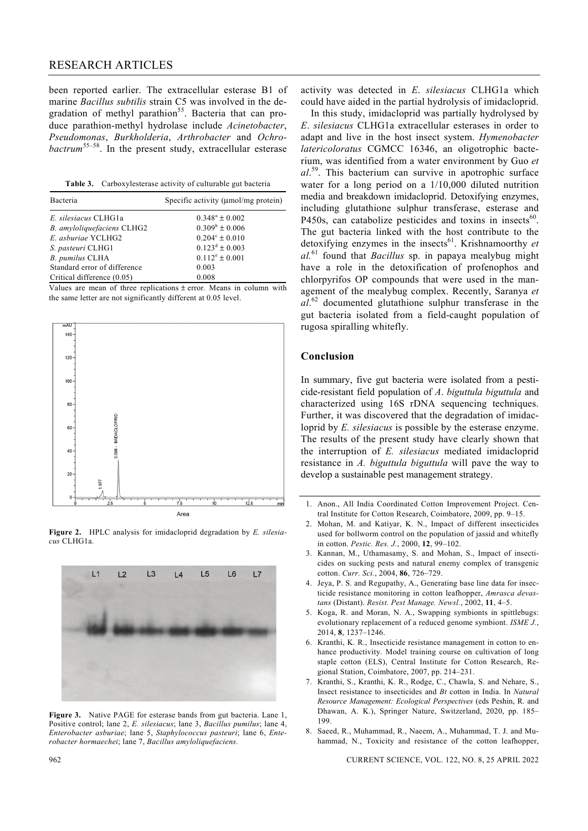## RESEARCH ARTICLES

been reported earlier. The extracellular esterase B1 of marine *Bacillus subtilis* strain C5 was involved in the degradation of methyl parathion<sup>55</sup>. Bacteria that can produce parathion-methyl hydrolase include *Acinetobacter*, *Pseudomonas*, *Burkholderia*, *Arthrobacter* and *Ochrobactrum*55–58. In the present study, extracellular esterase

**Table 3.** Carboxylesterase activity of culturable gut bacteria

| Bacteria                     | Specific activity ( $\mu$ mol/mg protein) |
|------------------------------|-------------------------------------------|
| E. silesiacus CLHG1a         | $0.348^a \pm 0.002$                       |
| B. amyloliquefaciens CLHG2   | $0.309^b \pm 0.006$                       |
| E. asburiae YCLHG2           | $0.204^{\circ} \pm 0.010$                 |
| S. pasteuri CLHG1            | $0.123^d \pm 0.003$                       |
| <b>B.</b> pumilus CLHA       | $0.112^e \pm 0.001$                       |
| Standard error of difference | 0.003                                     |
| Critical difference (0.05)   | 0.008                                     |

Values are mean of three replications  $\pm$  error. Means in column with the same letter are not significantly different at 0.05 level.



**Figure 2.** HPLC analysis for imidacloprid degradation by *E. silesiacus* CLHG1a.



**Figure 3.** Native PAGE for esterase bands from gut bacteria. Lane 1, Positive control; lane 2, *E. silesiacus*; lane 3, *Bacillus pumilus*; lane 4, *Enterobacter asburiae*; lane 5, *Staphylococcus pasteuri*; lane 6, *Enterobacter hormaechei*; lane 7, *Bacillus amyloliquefaciens.*

activity was detected in *E*. *silesiacus* CLHG1a which could have aided in the partial hydrolysis of imidacloprid.

 In this study, imidacloprid was partially hydrolysed by *E*. *silesiacus* CLHG1a extracellular esterases in order to adapt and live in the host insect system. *Hymenobacter latericoloratus* CGMCC 16346, an oligotrophic bacterium, was identified from a water environment by Guo *et al*. 59. This bacterium can survive in apotrophic surface water for a long period on a 1/10,000 diluted nutrition media and breakdown imidacloprid. Detoxifying enzymes, including glutathione sulphur transferase, esterase and P450s, can catabolize pesticides and toxins in insects $60$ . The gut bacteria linked with the host contribute to the detoxifying enzymes in the insects<sup>61</sup>. Krishnamoorthy *et al.*61 found that *Bacillus* sp. in papaya mealybug might have a role in the detoxification of profenophos and chlorpyrifos OP compounds that were used in the management of the mealybug complex. Recently, Saranya *et al*. 62 documented glutathione sulphur transferase in the gut bacteria isolated from a field-caught population of rugosa spiralling whitefly.

#### **Conclusion**

In summary, five gut bacteria were isolated from a pesticide-resistant field population of *A*. *biguttula biguttula* and characterized using 16S rDNA sequencing techniques. Further, it was discovered that the degradation of imidacloprid by *E. silesiacus* is possible by the esterase enzyme. The results of the present study have clearly shown that the interruption of *E. silesiacus* mediated imidacloprid resistance in *A. biguttula biguttula* will pave the way to develop a sustainable pest management strategy.

- 1. Anon., All India Coordinated Cotton Improvement Project. Central Institute for Cotton Research, Coimbatore, 2009, pp. 9–15.
- 2. Mohan, M. and Katiyar, K. N., Impact of different insecticides used for bollworm control on the population of jassid and whitefly in cotton. *Pestic. Res. J.*, 2000, **12**, 99–102.
- 3. Kannan, M., Uthamasamy, S. and Mohan, S., Impact of insecticides on sucking pests and natural enemy complex of transgenic cotton. *Curr. Sci.*, 2004, **86**, 726–729.
- 4. Jeya, P. S. and Regupathy, A., Generating base line data for insecticide resistance monitoring in cotton leafhopper, *Amrasca devastans* (Distant). *Resist. Pest Manage. Newsl.*, 2002, **11**, 4–5.
- 5. Koga, R. and Moran, N. A., Swapping symbionts in spittlebugs: evolutionary replacement of a reduced genome symbiont. *ISME J.*, 2014, **8**, 1237–1246.
- 6. Kranthi, K. R., Insecticide resistance management in cotton to enhance productivity. Model training course on cultivation of long staple cotton (ELS), Central Institute for Cotton Research, Regional Station, Coimbatore, 2007, pp. 214–231.
- 7. Kranthi, S., Kranthi, K. R., Rodge, C., Chawla, S. and Nehare, S., Insect resistance to insecticides and *Bt* cotton in India. In *Natural Resource Management: Ecological Perspectives* (eds Peshin, R. and Dhawan, A. K.), Springer Nature, Switzerland, 2020, pp. 185– 199.
- 8. Saeed, R., Muhammad, R., Naeem, A., Muhammad, T. J. and Muhammad, N., Toxicity and resistance of the cotton leafhopper,

962 CURRENT SCIENCE, VOL. 122, NO. 8, 25 APRIL 2022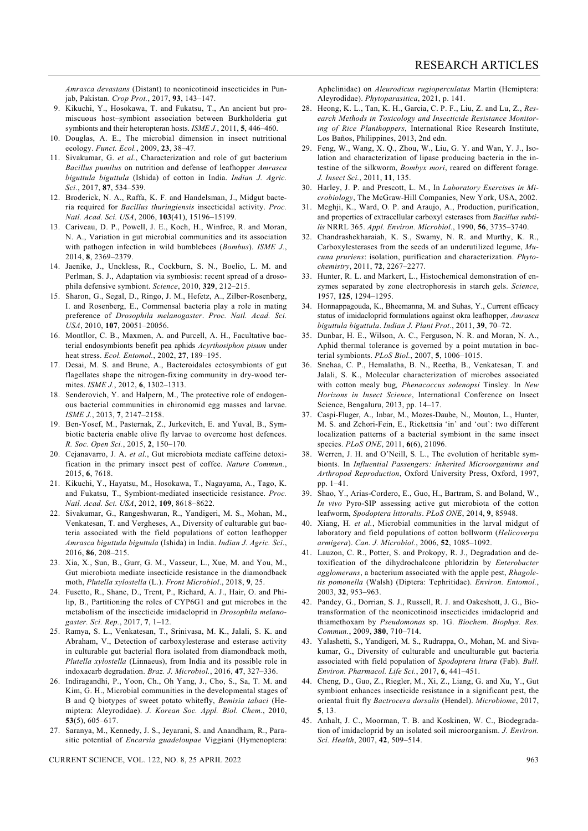*Amrasca devastans* (Distant) to neonicotinoid insecticides in Punjab, Pakistan. *Crop Prot.*, 2017, **93**, 143–147.

- 9. Kikuchi, Y., Hosokawa, T. and Fukatsu, T., An ancient but promiscuous host*–*symbiont association between Burkholderia gut symbionts and their heteropteran hosts. *ISME J.*, 2011, **5**, 446–460.
- 10. Douglas, A. E., The microbial dimension in insect nutritional ecology. *Funct. Ecol.*, 2009, **23**, 38–47*.*
- 11. Sivakumar, G. *et al.*, Characterization and role of gut bacterium *Bacillus pumilus* on nutrition and defense of leafhopper *Amrasca biguttula biguttula* (Ishida) of cotton in India. *Indian J. Agric. Sci.*, 2017, **87**, 534–539.
- 12. Broderick, N. A., Raffa, K. F. and Handelsman, J., Midgut bacteria required for *Bacillus thuringiensis* insecticidal activity. *Proc. Natl. Acad. Sci. USA*, 2006, **103**(41), 15196–15199.
- 13. Cariveau, D. P., Powell, J. E., Koch, H., Winfree, R. and Moran, N. A., Variation in gut microbial communities and its association with pathogen infection in wild bumblebees (*Bombus*). *ISME J.*, 2014, **8**, 2369–2379.
- 14. Jaenike, J., Unckless, R., Cockburn, S. N., Boelio, L. M. and Perlman, S. J., Adaptation via symbiosis: recent spread of a drosophila defensive symbiont. *Science*, 2010, **329**, 212–215.
- 15. Sharon, G., Segal, D., Ringo, J. M., Hefetz, A., Zilber-Rosenberg, I. and Rosenberg, E., Commensal bacteria play a role in mating preference of *Drosophila melanogaster*. *Proc. Natl. Acad. Sci. USA*, 2010, **107**, 20051–20056.
- 16. Montllor, C. B., Maxmen, A. and Purcell, A. H., Facultative bacterial endosymbionts benefit pea aphids *Acyrthosiphon pisum* under heat stress. *Ecol. Entomol.*, 2002, **27**, 189–195.
- 17. Desai, M. S. and Brune, A., Bacteroidales ectosymbionts of gut flagellates shape the nitrogen-fixing community in dry-wood termites. *ISME J.*, 2012, **6**, 1302–1313.
- 18. Senderovich, Y. and Halpern, M., The protective role of endogenous bacterial communities in chironomid egg masses and larvae. *ISME J.*, 2013, **7**, 2147–2158.
- 19. Ben-Yosef, M., Pasternak, Z., Jurkevitch, E. and Yuval, B., Symbiotic bacteria enable olive fly larvae to overcome host defences. *R. Soc. Open Sci.*, 2015, **2**, 150–170.
- 20. Cejanavarro, J. A. *et al.*, Gut microbiota mediate caffeine detoxification in the primary insect pest of coffee. *Nature Commun.*, 2015, **6**, 7618.
- 21. Kikuchi, Y., Hayatsu, M., Hosokawa, T., Nagayama, A., Tago, K. and Fukatsu, T., Symbiont-mediated insecticide resistance. *Proc. Natl. Acad. Sci. USA*, 2012, **109**, 8618–8622.
- 22. Sivakumar, G., Rangeshwaran, R., Yandigeri, M. S., Mohan, M., Venkatesan, T. and Vergheses, A., Diversity of culturable gut bacteria associated with the field populations of cotton leafhopper *Amrasca biguttula biguttula* (Ishida) in India. *Indian J. Agric. Sci*., 2016, **86**, 208–215.
- 23. Xia, X., Sun, B., Gurr, G. M., Vasseur, L., Xue, M. and You, M., Gut microbiota mediate insecticide resistance in the diamondback moth, *Plutella xylostella* (L.). *Front Microbiol*., 2018, **9**, 25.
- 24. Fusetto, R., Shane, D., Trent, P., Richard, A. J., Hair, O. and Philip, B., Partitioning the roles of CYP6G1 and gut microbes in the metabolism of the insecticide imidacloprid in *Drosophila melanogaster. Sci. Rep.*, 2017, **7**, 1–12.
- 25. Ramya, S. L., Venkatesan, T., Srinivasa, M. K., Jalali, S. K. and Abraham, V., Detection of carboxylesterase and esterase activity in culturable gut bacterial flora isolated from diamondback moth, *Plutella xylostella* (Linnaeus), from India and its possible role in indoxacarb degradation. *Braz. J. Microbiol.*, 2016, **47**, 327–336.
- 26. Indiragandhi, P., Yoon, Ch., Oh Yang, J., Cho, S., Sa, T. M. and Kim, G. H., Microbial communities in the developmental stages of B and Q biotypes of sweet potato whitefly, *Bemisia tabaci* (Hemiptera: Aleyrodidae). *J. Korean Soc. Appl. Biol. Chem.*, 2010, **53**(5), 605–617.
- 27. Saranya, M., Kennedy, J. S., Jeyarani, S. and Anandham, R., Parasitic potential of *Encarsia guadeloupae* Viggiani (Hymenoptera:

CURRENT SCIENCE, VOL. 122, NO. 8, 25 APRIL 2022 963

Aphelinidae) on *Aleurodicus rugioperculatus* Martin (Hemiptera: Aleyrodidae). *Phytoparasitica*, 2021, p. 141.

- 28. Heong, K. L., Tan, K. H., Garcia, C. P. F., Liu, Z. and Lu, Z., *Research Methods in Toxicology and Insecticide Resistance Monitoring of Rice Planthoppers*, International Rice Research Institute, Los Baños, Philippines, 2013, 2nd edn.
- 29. Feng, W., Wang, X. Q., Zhou, W., Liu, G. Y. and Wan, Y. J., Isolation and characterization of lipase producing bacteria in the intestine of the silkworm, *Bombyx mori*, reared on different forage*. J. Insect Sci.*, 2011, **11**, 135.
- 30. Harley, J. P. and Prescott, L. M., In *Laboratory Exercises in Microbiology*, The McGraw-Hill Companies, New York, USA, 2002.
- 31. Meghji, K., Ward, O. P. and Araujo, A., Production, purification, and properties of extracellular carboxyl esterases from *Bacillus subtilis* NRRL 365. *Appl. Environ. Microbiol.*, 1990, **56**, 3735–3740.
- 32. Chandrashekharaiah, K. S., Swamy, N. R. and Murthy, K. R., Carboxylesterases from the seeds of an underutilized legume, *Mucuna pruriens*: isolation, purification and characterization. *Phytochemistry*, 2011, **72**, 2267–2277.
- 33. Hunter, R. L. and Markert, L., Histochemical demonstration of enzymes separated by zone electrophoresis in starch gels. *Science*, 1957, **125**, 1294–1295.
- 34. Honnappagouda, K., Bheemanna, M. and Suhas, Y., Current efficacy status of imidacloprid formulations against okra leafhopper, *Amrasca biguttula biguttula*. *Indian J. Plant Prot.*, 2011, **39**, 70–72.
- 35. Dunbar, H. E., Wilson, A. C., Ferguson, N. R. and Moran, N. A., Aphid thermal tolerance is governed by a point mutation in bacterial symbionts. *PLoS Biol.*, 2007, **5**, 1006–1015.
- 36. Snehaa, C. P., Hemalatha, B. N., Reetha, B., Venkatesan, T. and Jalali, S. K., Molecular characterization of microbes associated with cotton mealy bug*, Phenacoccus solenopsi* Tinsley. In *New Horizons in Insect Science*, International Conference on Insect Science, Bengaluru, 2013, pp. 14–17.
- 37. Caspi-Fluger, A., Inbar, M., Mozes-Daube, N., Mouton, L., Hunter, M. S. and Zchori-Fein, E., Rickettsia 'in' and 'out': two different localization patterns of a bacterial symbiont in the same insect species. *PLoS ONE*, 2011, **6**(6), 21096.
- 38. Werren, J. H. and O'Neill, S. L., The evolution of heritable symbionts. In *Influential Passengers: Inherited Microorganisms and Arthropod Reproduction*, Oxford University Press, Oxford, 1997, pp. 1–41.
- 39. Shao, Y., Arias-Cordero, E., Guo, H., Bartram, S. and Boland, W., *In vivo* Pyro-SIP assessing active gut microbiota of the cotton leafworm, *Spodoptera littoralis*. *PLoS ONE*, 2014, **9**, 85948.
- 40. Xiang, H. *et al.*, Microbial communities in the larval midgut of laboratory and field populations of cotton bollworm (*Helicoverpa armigera*). *Can. J. Microbiol.*, 2006, **52**, 1085–1092.
- 41. Lauzon, C. R., Potter, S. and Prokopy, R. J., Degradation and detoxification of the dihydrochalcone phloridzin by *Enterobacter agglomerans*, a bacterium associated with the apple pest, *Rhagoletis pomonella* (Walsh) (Diptera: Tephritidae). *Environ. Entomol.*, 2003, **32**, 953–963.
- 42. Pandey, G., Dorrian, S. J., Russell, R. J. and Oakeshott, J. G., Biotransformation of the neonicotinoid insecticides imidacloprid and thiamethoxam by *Pseudomonas* sp. 1G. *Biochem. Biophys. Res. Commun.*, 2009, **380**, 710*–*714.
- 43. Yalashetti, S., Yandigeri, M. S., Rudrappa, O., Mohan, M. and Sivakumar, G., Diversity of culturable and unculturable gut bacteria associated with field population of *Spodoptera litura* (Fab). *Bull. Environ. Pharmacol. Life Sci.*, 2017, **6**, 441–451.
- 44. Cheng, D., Guo, Z., Riegler, M., Xi, Z., Liang, G. and Xu, Y., Gut symbiont enhances insecticide resistance in a significant pest, the oriental fruit fly *Bactrocera dorsalis* (Hendel). *Microbiome*, 2017, **5**, 13.
- 45. Anhalt, J. C., Moorman, T. B. and Koskinen, W. C., Biodegradation of imidacloprid by an isolated soil microorganism. *J. Environ. Sci. Health*, 2007, **42**, 509–514.